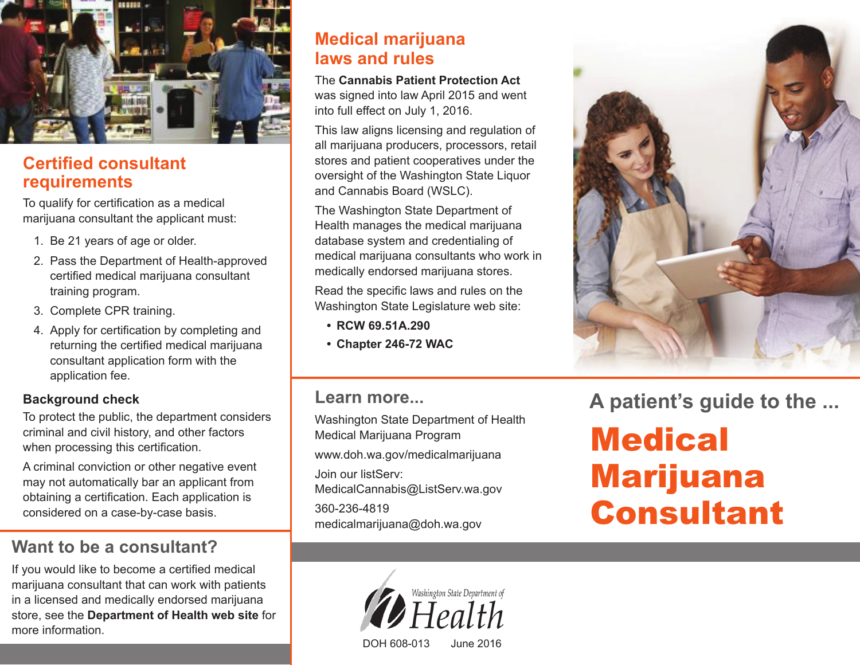

### **Certified consultant requirements**

To qualify for certification as a medical marijuana consultant the applicant must:

- 1. Be 21 years of age or older.
- 2. Pass the Department of Health-approved certified medical marijuana consultant training program.
- 3. Complete CPR training.
- 4. Apply for certification by completing and returning the certified medical marijuana consultant application form with the application fee.

#### **Background check**

To protect the public, the department considers criminal and civil history, and other factors when processing this certification.

A criminal conviction or other negative event may not automatically bar an applicant from obtaining a certification. Each application is considered on a case-by-case basis.

# **Want to be a consultant?**

If you would like to become a certified medical marijuana consultant that can work with patients in a licensed and medically endorsed marijuana store, see the **Department of Health web site** for more information.

### **Medical marijuana laws and rules**

The **Cannabis Patient Protection Act** was signed into law April 2015 and went into full effect on July 1, 2016.

This law aligns licensing and regulation of all marijuana producers, processors, retail stores and patient cooperatives under the oversight of the Washington State Liquor and Cannabis Board (WSLC).

The Washington State Department of Health manages the medical marijuana database system and credentialing of medical marijuana consultants who work in medically endorsed marijuana stores.

Read the specific laws and rules on the Washington State Legislature web site:

- **• RCW 69.51A.290**
- **• Chapter 246-72 WAC**

### **Learn more...**

Washington State Department of Health Medical Marijuana Program www.doh.wa.gov/medicalmarijuana Join our listServ: MedicalCannabis@ListServ.wa.gov 360-236-4819 medicalmarijuana@doh.wa.gov



**A patient's guide to the ...**

**Medical** Marijuana Consultant